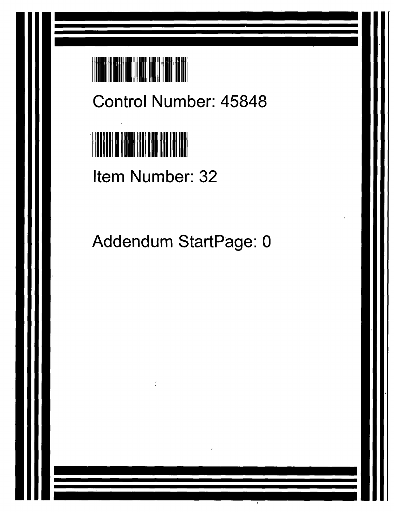

Control Number: 45848

# <sup>1</sup>II 1 III 1 1 1 1 1 II

Item Number: 32

c

Addendum StartPage: 0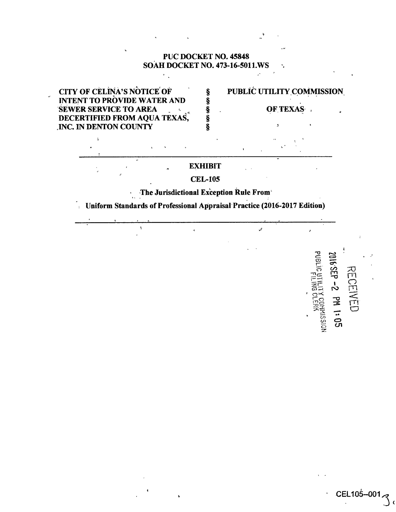# **PUC DOCKET NO. 45848 SOAH DOCKET NO. 473-16-5011.WS**





CEL106--001